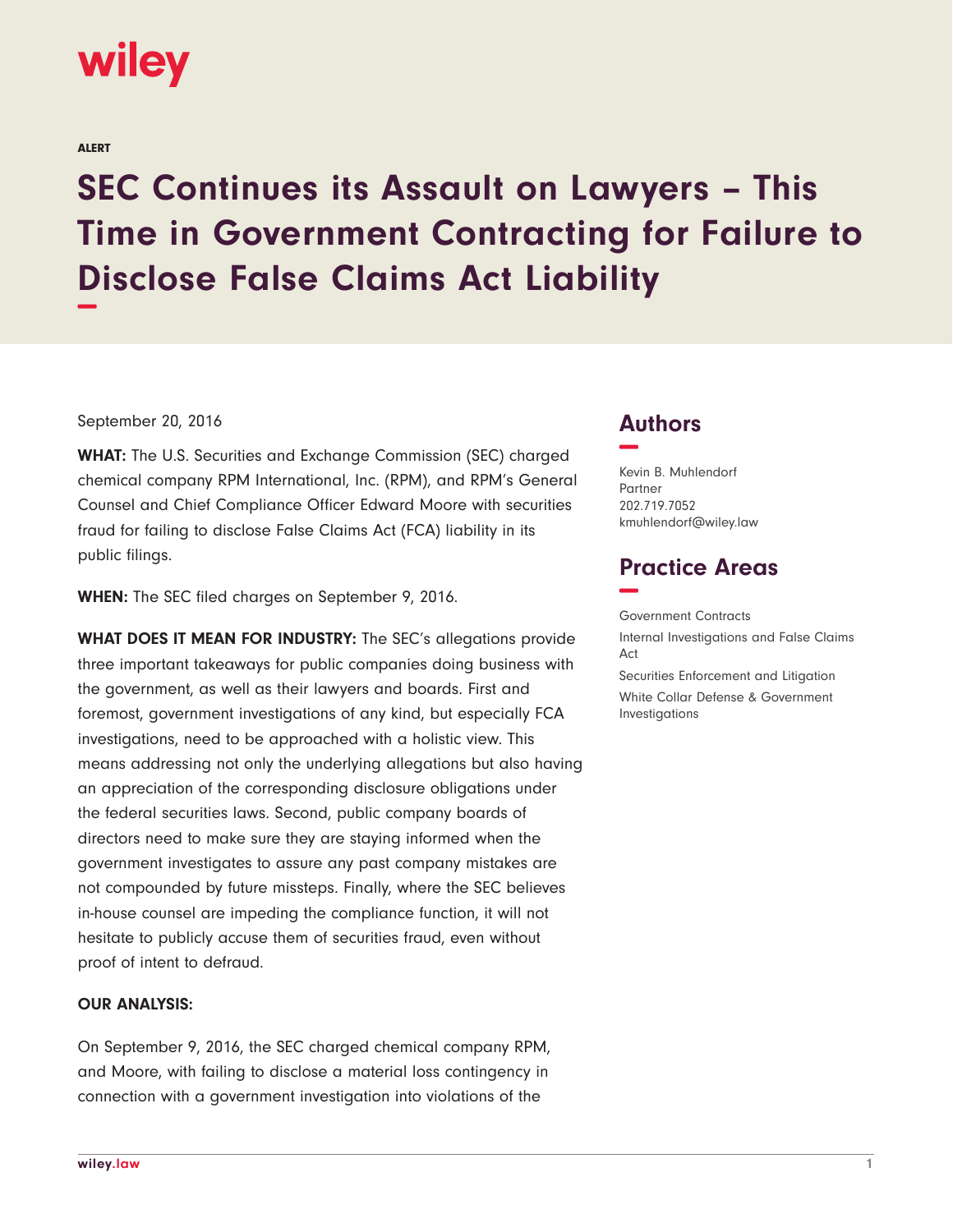

ALERT

# **SEC Continues its Assault on Lawyers – This Time in Government Contracting for Failure to Disclose False Claims Act Liability −**

#### September 20, 2016

**WHAT:** The U.S. Securities and Exchange Commission (SEC) charged chemical company RPM International, Inc. (RPM), and RPM's General Counsel and Chief Compliance Officer Edward Moore with securities fraud for failing to disclose False Claims Act (FCA) liability in its public filings.

**WHEN:** The SEC filed charges on September 9, 2016.

**WHAT DOES IT MEAN FOR INDUSTRY:** The SEC's allegations provide three important takeaways for public companies doing business with the government, as well as their lawyers and boards. First and foremost, government investigations of any kind, but especially FCA investigations, need to be approached with a holistic view. This means addressing not only the underlying allegations but also having an appreciation of the corresponding disclosure obligations under the federal securities laws. Second, public company boards of directors need to make sure they are staying informed when the government investigates to assure any past company mistakes are not compounded by future missteps. Finally, where the SEC believes in-house counsel are impeding the compliance function, it will not hesitate to publicly accuse them of securities fraud, even without proof of intent to defraud.

#### **OUR ANALYSIS:**

On September 9, 2016, the SEC charged chemical company RPM, and Moore, with failing to disclose a material loss contingency in connection with a government investigation into violations of the

### **Authors −**

Investigations

Kevin B. Muhlendorf Partner 202.719.7052 kmuhlendorf@wiley.law

## **Practice Areas −**

Government Contracts Internal Investigations and False Claims Act Securities Enforcement and Litigation White Collar Defense & Government